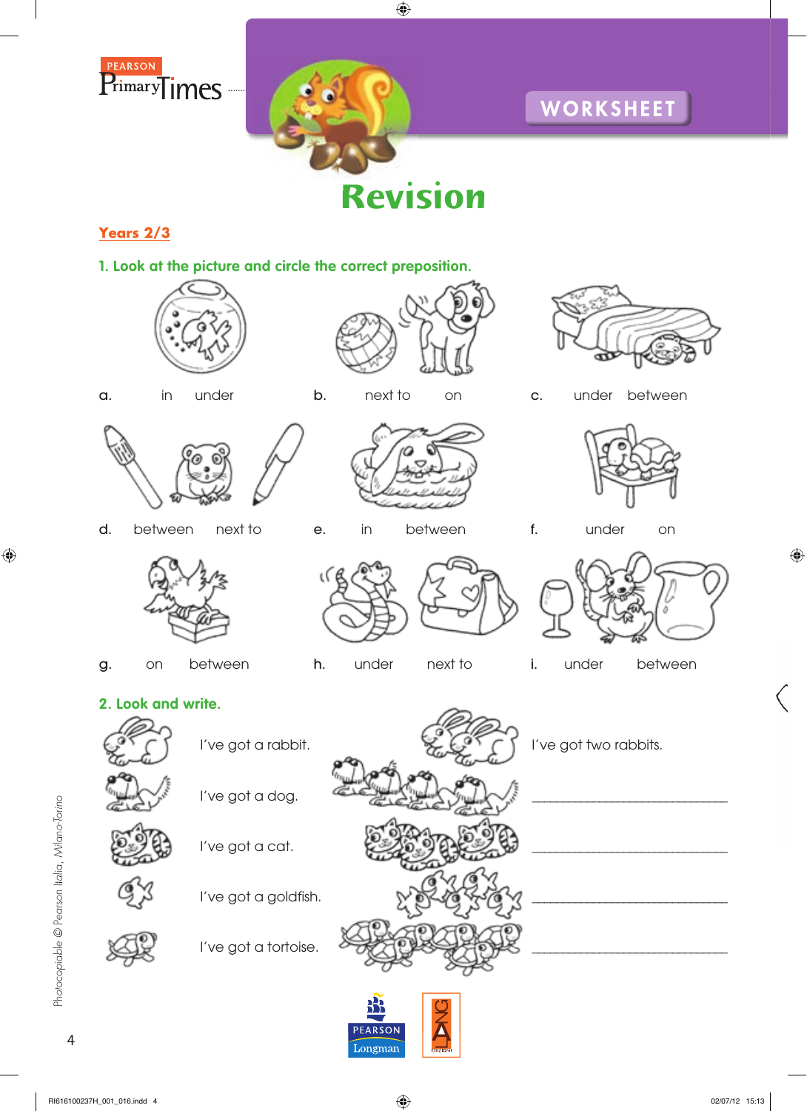

**Revision**

## **Years 2/3**

**1. Look at the picture and circle the correct preposition.**







a. in under b. nextito on c. under between



d. between next to e. in between f. under on











g. on between h. under next to i. under between









## **2. Look and write.**



I've got a dog.

I've got a cat.















Photocopiable © Pearson Italia, Milano-Torino

Photocopiable © Pearson Italia, Milano-Torino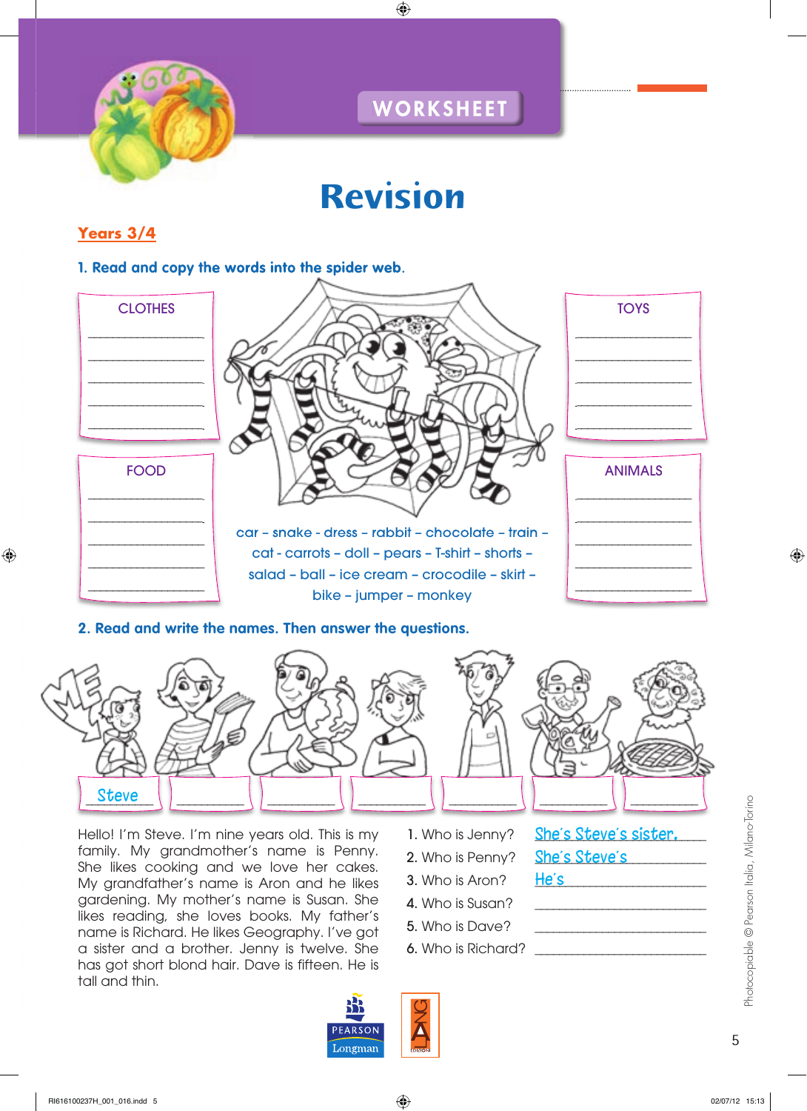

# **Revision**

# **Years 3/4**

#### **1. Read and copy the words into the spider web.**



#### **2. Read and write the names. Then answer the questions.**



Hello! I'm Steve. I'm nine years old. This is my family. My grandmother's name is Penny. She likes cooking and we love her cakes. My grandfather's name is Aron and he likes gardening. My mother's name is Susan. She likes reading, she loves books. My father's name is Richard. He likes Geography. I've got a sister and a brother. Jenny is twelve. She has got short blond hair. Dave is fifteen. He is tall and thin.

- 1. Who is Jenny? She's Steve's sister.
- 2. Who is Penny? \_\_\_\_<mark>She's Steve's</mark> \_\_\_\_\_\_\_\_\_\_
- 3. Who is Aron?

He's

- 4. Who is Susan?
- 5. Who is Dave?
- 6. Who is Richard?